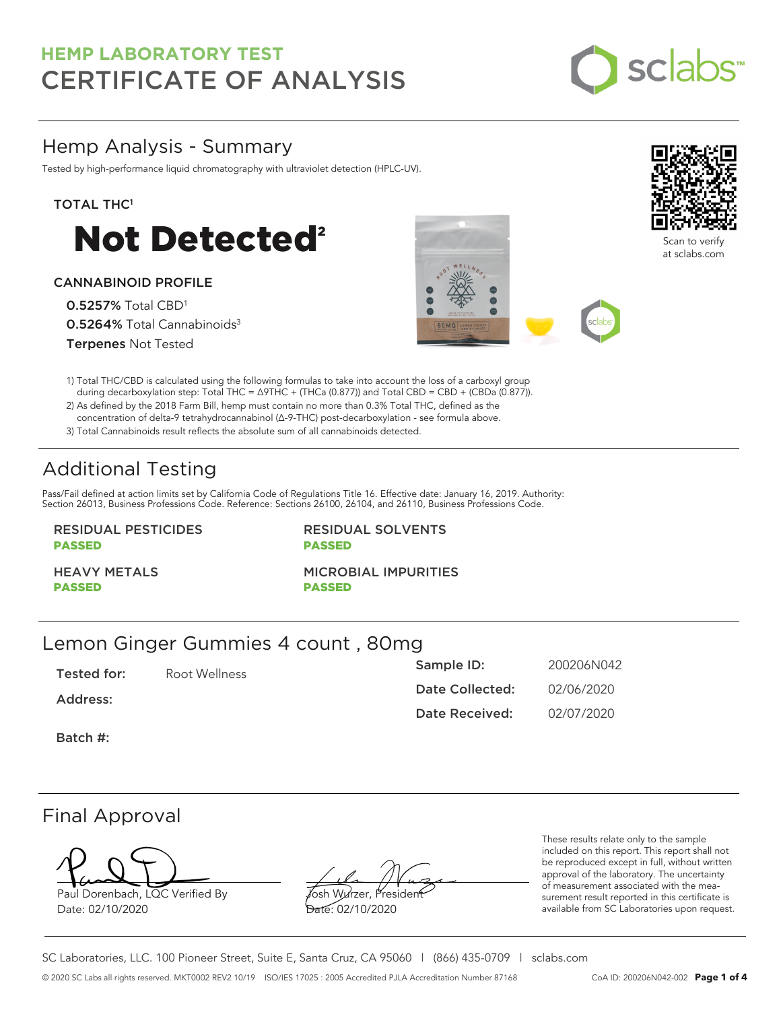# **HEMP LABORATORY TEST** CERTIFICATE OF ANALYSIS



## Hemp Analysis - Summary

Tested by high-performance liquid chromatography with ultraviolet detection (HPLC-UV).

### TOTAL THC<sup>1</sup>



### CANNABINOID PROFILE

0.5257% Total CBD<sup>1</sup> 0.5264% Total Cannabinoids<sup>3</sup> Terpenes Not Tested





Scan to verify at sclabs.com



2) As defined by the 2018 Farm Bill, hemp must contain no more than 0.3% Total THC, defined as the concentration of delta-9 tetrahydrocannabinol (Δ-9-THC) post-decarboxylation - see formula above.

3) Total Cannabinoids result reflects the absolute sum of all cannabinoids detected.

# Additional Testing

Pass/Fail defined at action limits set by California Code of Regulations Title 16. Effective date: January 16, 2019. Authority: Section 26013, Business Professions Code. Reference: Sections 26100, 26104, and 26110, Business Professions Code.

### RESIDUAL PESTICIDES PASSED

RESIDUAL SOLVENTS PASSED

HEAVY METALS PASSED

MICROBIAL IMPURITIES

PASSED

### Lemon Ginger Gummies 4 count , 80mg

Tested for: Root Wellness Address: Batch #: Sample ID: 200206N042 Date Collected: 02/06/2020 Date Received: 02/07/2020

### Final Approval

Paul Dorenbach, LQC Verified By Date: 02/10/2020

Josh Wurzer, President Date: 02/10/2020

These results relate only to the sample included on this report. This report shall not be reproduced except in full, without written approval of the laboratory. The uncertainty of measurement associated with the measurement result reported in this certificate is available from SC Laboratories upon request.

SC Laboratories, LLC. 100 Pioneer Street, Suite E, Santa Cruz, CA 95060 | (866) 435-0709 | sclabs.com © 2020 SC Labs all rights reserved. MKT0002 REV2 10/19 ISO/IES 17025 : 2005 Accredited PJLA Accreditation Number 87168 CoA ID: 200206N042-002 **Page 1 of 4**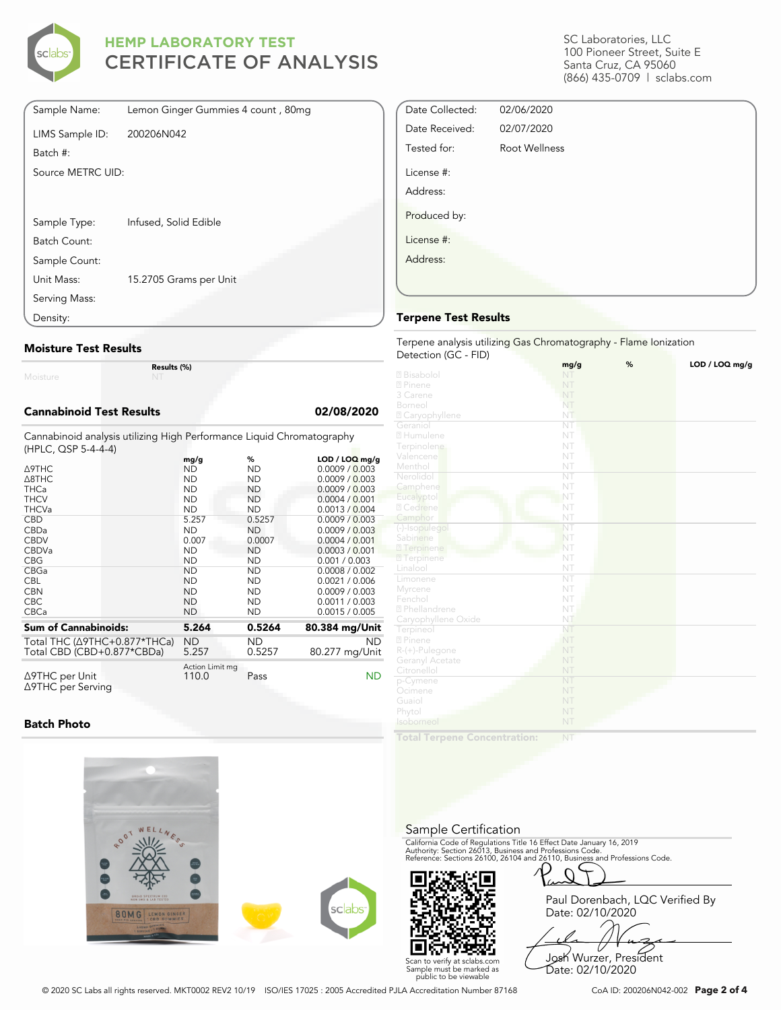

## **HEMP LABORATORY TEST** CERTIFICATE OF ANALYSIS

| Sample Name:      | Lemon Ginger Gummies 4 count, 80mg |
|-------------------|------------------------------------|
| LIMS Sample ID:   | 200206N042                         |
| Batch #:          |                                    |
| Source METRC UID: |                                    |
|                   |                                    |
|                   |                                    |
| Sample Type:      | Infused, Solid Edible              |
| Batch Count:      |                                    |
| Sample Count:     |                                    |
| Unit Mass:        | 15.2705 Grams per Unit             |
| Serving Mass:     |                                    |
| Density:          |                                    |

#### **Moisture Test Results**

Moisture

**Results (%)**

#### **Cannabinoid Test Results 02/08/2020**

Cannabinoid analysis utilizing High Performance Liquid Chromatography (HPLC, QSP 5-4-4-4)

| <b>A9THC</b><br>A8THC                                      | mg/g<br>ND<br><b>ND</b>  | %<br><b>ND</b><br><b>ND</b> | $LOD / LOQ$ mg/g<br>0.0009 / 0.003<br>0.0009 / 0.003 |
|------------------------------------------------------------|--------------------------|-----------------------------|------------------------------------------------------|
| <b>THCa</b>                                                | <b>ND</b>                | <b>ND</b>                   | 0.0009 / 0.003                                       |
| <b>THCV</b><br><b>THCVa</b>                                | <b>ND</b><br><b>ND</b>   | <b>ND</b><br><b>ND</b>      | 0.0004 / 0.001<br>0.0013 / 0.004                     |
| <b>CBD</b>                                                 | 5.257                    | 0.5257                      | 0.0009 / 0.003                                       |
| CBDa                                                       | <b>ND</b>                | <b>ND</b>                   | 0.0009 / 0.003                                       |
| <b>CBDV</b>                                                | 0.007                    | 0.0007                      | 0.0004 / 0.001                                       |
| <b>CBDVa</b>                                               | <b>ND</b>                | <b>ND</b>                   | 0.0003 / 0.001                                       |
| <b>CBG</b>                                                 | <b>ND</b>                | ND                          | 0.001 / 0.003                                        |
| CBGa                                                       | <b>ND</b>                | ND                          | 0.0008 / 0.002                                       |
| <b>CBL</b>                                                 | <b>ND</b>                | <b>ND</b>                   | 0.0021 / 0.006                                       |
| <b>CBN</b>                                                 | <b>ND</b>                | <b>ND</b>                   | 0.0009 / 0.003                                       |
| <b>CBC</b>                                                 | <b>ND</b>                | <b>ND</b>                   | 0.0011 / 0.003                                       |
| <b>CBCa</b>                                                | <b>ND</b>                | ND                          | 0.0015 / 0.005                                       |
| <b>Sum of Cannabinoids:</b>                                | 5.264                    | 0.5264                      | 80.384 mg/Unit                                       |
| Total THC (∆9THC+0.877*THCa)<br>Total CBD (CBD+0.877*CBDa) | <b>ND</b><br>5.257       | ND<br>0.5257                | <b>ND</b><br>80.277 mg/Unit                          |
| $\triangle$ 9THC per Unit<br>∆9THC per Serving             | Action Limit mg<br>110.0 | Pass                        | ND                                                   |

**Batch Photo**



SC Laboratories, LLC 100 Pioneer Street, Suite E Santa Cruz, CA 95060 (866) 435-0709 | sclabs.com

| Date Collected: | 02/06/2020    |  |
|-----------------|---------------|--|
| Date Received:  | 02/07/2020    |  |
| Tested for:     | Root Wellness |  |
| License #:      |               |  |
| Address:        |               |  |
| Produced by:    |               |  |
| License #:      |               |  |
| Address:        |               |  |
|                 |               |  |
|                 |               |  |

#### **Terpene Test Results**

Terpene analysis utilizing Gas Chromatography - Flame Ionization Detection (GC - FID)

|                     | mg/g                   | % | LOD / LOQ mg/g |
|---------------------|------------------------|---|----------------|
| 2 Bisabolol         | NT                     |   |                |
| 2 Pinene            | NT                     |   |                |
| 3 Carene            | NT                     |   |                |
| Borneol             | NT                     |   |                |
| 2 Caryophyllene     | NT                     |   |                |
| Geraniol            | $\overline{\text{NT}}$ |   |                |
| 2 Humulene          | NT                     |   |                |
| Terpinolene         | NT                     |   |                |
| Valencene           | NT                     |   |                |
| Menthol             | NT                     |   |                |
| Nerolidol           | $\overline{\text{NT}}$ |   |                |
| Camphene            | NT                     |   |                |
| Eucalyptol          | NT                     |   |                |
| 2 Cedrene           | NT                     |   |                |
| Camphor             | NT                     |   |                |
| (-)-Isopulegol      | NT                     |   |                |
| Sabinene            | NT                     |   |                |
| 27 Terpinene        | NT                     |   |                |
| <b>7</b> Terpinene  | NT                     |   |                |
| Linalool            | NT                     |   |                |
| Limonene            | NT                     |   |                |
| Myrcene             | NT                     |   |                |
| Fenchol             | NT                     |   |                |
| 2 Phellandrene      | NT                     |   |                |
| Caryophyllene Oxide | NT                     |   |                |
| Terpineol           | NT                     |   |                |
| 2 Pinene            | NT                     |   |                |
| $R-(+)$ -Pulegone   | NT                     |   |                |
| Geranyl Acetate     | NT                     |   |                |
| Citronellol         | NT                     |   |                |
| p-Cymene            | NT                     |   |                |
| Ocimene             | NT                     |   |                |
| Guaiol              | NT                     |   |                |
| Phytol              | NT                     |   |                |
| Isoborneol          | NT                     |   |                |
|                     |                        |   |                |

**Total Terpene Concentration:**

Sample Certification

California Code of Regulations Title 16 Effect Date January 16, 2019<br>Authority: Section 26013, Business and Professions Code.<br>Reference: Sections 26100, 26104 and 26110, Business and Professions Code.



Paul Dorenbach, LQC Verified By Date: 02/10/2020

Josh Wurzer, President Date: 02/10/2020

© 2020 SC Labs all rights reserved. MKT0002 REV2 10/19 ISO/IES 17025 : 2005 Accredited PJLA Accreditation Number 87168 CoA ID: 200206N042-002 **Page 2 of 4**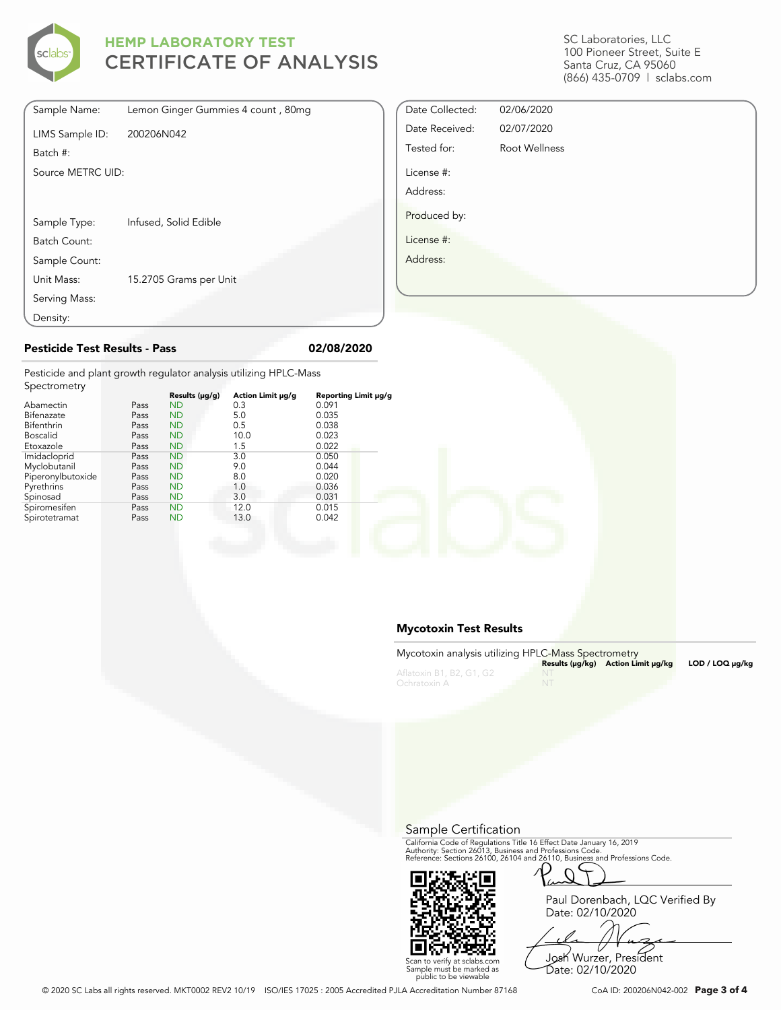

Density:

## **HEMP LABORATORY TEST** CERTIFICATE OF ANALYSIS

| Sample Name:      | Lemon Ginger Gummies 4 count, 80mg |
|-------------------|------------------------------------|
| LIMS Sample ID:   | 200206N042                         |
| Batch #:          |                                    |
| Source METRC UID: |                                    |
|                   |                                    |
| Sample Type:      | Infused, Solid Edible              |
| Batch Count:      |                                    |
| Sample Count:     |                                    |
| Unit Mass:        | 15.2705 Grams per Unit             |
| Serving Mass:     |                                    |

SC Laboratories, LLC 100 Pioneer Street, Suite E Santa Cruz, CA 95060 (866) 435-0709 | sclabs.com

| Date Collected: | 02/06/2020           |  |
|-----------------|----------------------|--|
| Date Received:  | 02/07/2020           |  |
| Tested for:     | <b>Root Wellness</b> |  |
| License #:      |                      |  |
| Address:        |                      |  |
| Produced by:    |                      |  |
| License #:      |                      |  |
| Address:        |                      |  |
|                 |                      |  |
|                 |                      |  |

#### **Pesticide Test Results - Pass 02/08/2020**

Pesticide and plant growth regulator analysis utilizing HPLC-Mass Spectrometry

| OPCCHOTICH Y      |      |                |                   |                      |
|-------------------|------|----------------|-------------------|----------------------|
|                   |      | Results (µg/g) | Action Limit µg/g | Reporting Limit µg/g |
| Abamectin         | Pass | <b>ND</b>      | 0.3               | 0.091                |
| Bifenazate        | Pass | <b>ND</b>      | 5.0               | 0.035                |
| <b>Bifenthrin</b> | Pass | <b>ND</b>      | 0.5               | 0.038                |
| <b>Boscalid</b>   | Pass | <b>ND</b>      | 10.0              | 0.023                |
| Etoxazole         | Pass | <b>ND</b>      | 1.5               | 0.022                |
| Imidacloprid      | Pass | <b>ND</b>      | 3.0               | 0.050                |
| Myclobutanil      | Pass | <b>ND</b>      | 9.0               | 0.044                |
| Piperonylbutoxide | Pass | <b>ND</b>      | 8.0               | 0.020                |
| Pyrethrins        | Pass | <b>ND</b>      | 1.0               | 0.036                |
| Spinosad          | Pass | <b>ND</b>      | 3.0               | 0.031                |
| Spiromesifen      | Pass | <b>ND</b>      | 12.0              | 0.015                |
| Spirotetramat     | Pass | <b>ND</b>      | 13.0              | 0.042                |
|                   |      |                |                   |                      |

#### **Mycotoxin Test Results**

| Mycotoxin analysis utilizing HPLC-Mass Spectrometry | Results (µq/kq) Action Limit µq/kq | LOD / LOQ ua/ka |
|-----------------------------------------------------|------------------------------------|-----------------|
| Aflatoxin B1, B2, G1, G2<br>Ochratoxin A            |                                    |                 |

Sample Certification

California Code of Regulations Title 16 Effect Date January 16, 2019<br>Authority: Section 26013, Business and Professions Code.<br>Reference: Sections 26100, 26104 and 26110, Business and Professions Code.



Paul Dorenbach, LQC Verified By Date: 02/10/2020

Josh Wurzer, President

Scan to verify at sclabs.com Sample must be marked as public to be viewable Date: 02/10/2020

© 2020 SC Labs all rights reserved. MKT0002 REV2 10/19 ISO/IES 17025 : 2005 Accredited PJLA Accreditation Number 87168 CoA ID: 200206N042-002 **Page 3 of 4**